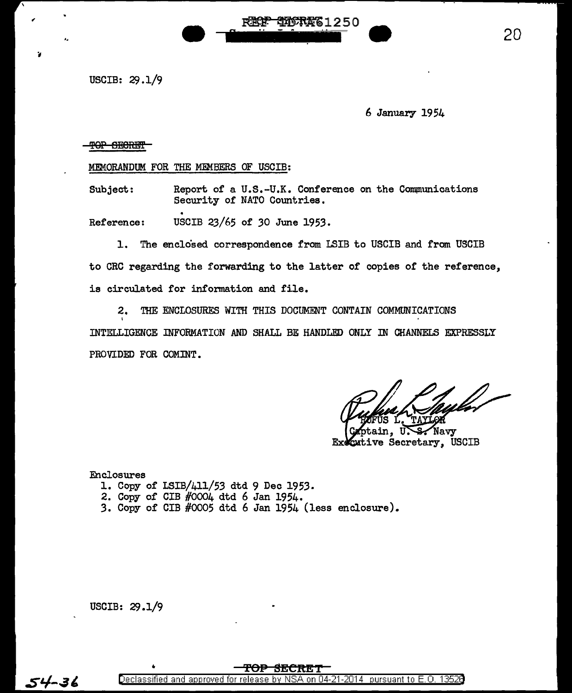USCIB:  $29.1/9$ 

,

6 January 1954

20

TOP SECRET

MEMORANDUM FOR THE MEMBERS OF USCIB:

Subject: Report of a U.S.-U.K. Conference on the Communications<br>Security of NATO Countries.

**• PECP DISTRE1250** 

Reference: USCIB 23/65 of 30 June 1953.

1. The enclo'sed correspondence from LSIB to USCIB and from USCIB to CRC regarding the forwarding to the latter of copies of the reference, is circulated for information and file.

2. THE ENCLOSURES WITH THIS DOCUMENT CONTAIN COMMUNICATIONS I INTELLIGENCE INFORMATION AND SHALL BE HANDLED ONLY IN CHANNELS EXPRESSLY PROVIDED FOR COMINT.

Navy Executive Secretary, USCIB

Enclosures

- 1. Copy of LSIB/411/53 dtd 9 Dec 1953.
- 2. Copy of CIB #0004 dtd 6 Jan 1954.
- 3. Copy of CIB #0005 dtd 6 Jan 1954 (less enclosure).

USCIB:  $29.1/9$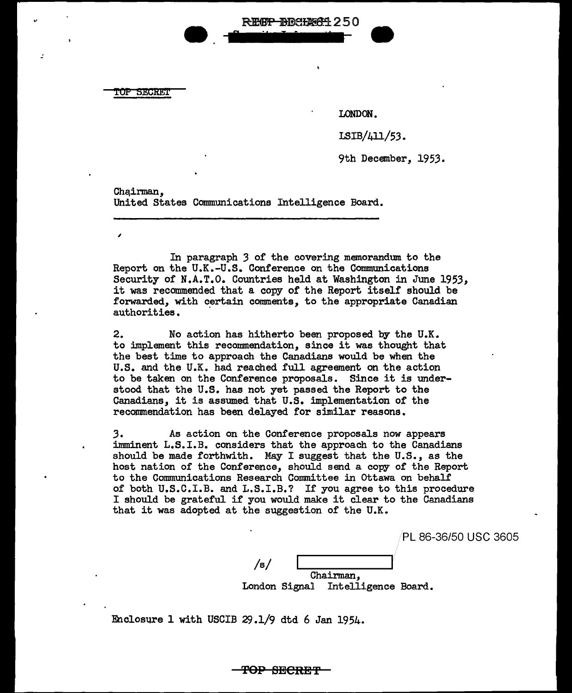TOP SECREi'

*:* ••

LONDON.

LSIB/411/53.

9th December, 1953.

•

Chairman. United States Communications Intelligence Board.

In paragraph *3* of the covering memorandum to the Report on the U.K.-U.S. Conference on the Communications Security of N.A.T.O. Countries held at Washington in June 1953, it was recommended that a copy of the Report itself should be forwarded, with certain comments, to the appropriate Canadian authorities.

REGP BRCHAGH 250

2. No action has hitherto been proposed by the U.K. to implement this recommendation, since it was thought that the best time to approach the Canadians would be when the U.S. and the U.K. had reached full agreement on the action to be taken on the Conference proposals. Since it is understood that the U.S. has not yet passed the Report to the Canadians, it is assumed that U.S. implementation of the recommendation has been delayed for similar reasons.

*3.* As action on the Conference proposals now appears imminent L.S.I.B. considers that the approach to the Canadians should be made forthwith. May I suggest that the U.S., as the host nation of the Conference, should send a copy of the Report to the Communications Research Committee in Ottawa on behalf of both U.S.C.I.B. and L.S.I.B.? If you agree to this procedure I should be grateful if you would make it clear to the Canadians that it was adopted at the suggestion of the U.K.

PL 86-36/50 USC 3605

/s/ Chairman, London Signal Intelligence Board.

Enclosure 1 with USCIB  $29.1/9$  dtd 6 Jan 1954.

<del>TOP SECRET '</del>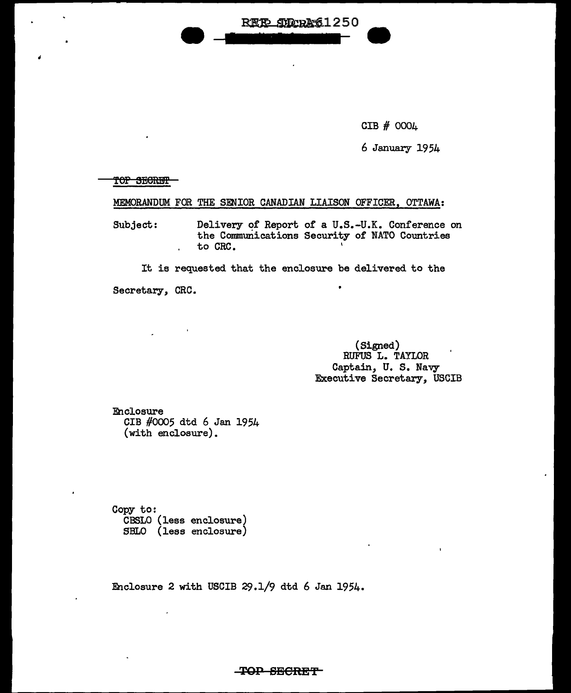

CIB # 0004

6 January 1954

TOP SECRET

 $\ddot{\phantom{a}}$ 

## MEMORANDUM FOR THE SENIOR CANADIAN LIAISON OFFICER, OTTAWA:

Subject: Delivery of Report of a U.S.-U.K. Conference on the Communications Security of NATO Countries to CRC. '  $\mathbf{r}$ 

It is requested that the enclosure be delivered to the

Secretary, CRC.

(Signed) RUFUS L. TAYLOR Captain, U. s. Navy Executive Secretary, USCIB

Enclosure CIB #0005 dtd 6 Jan 1954 (with enclosure).

Copy to: CBSLO (less enclosure) SBLO (less enclosure)

Enclosure 2 with USCIB 29.1/9 dtd 6 Jan 1954.

**TOP SEORE'f'**